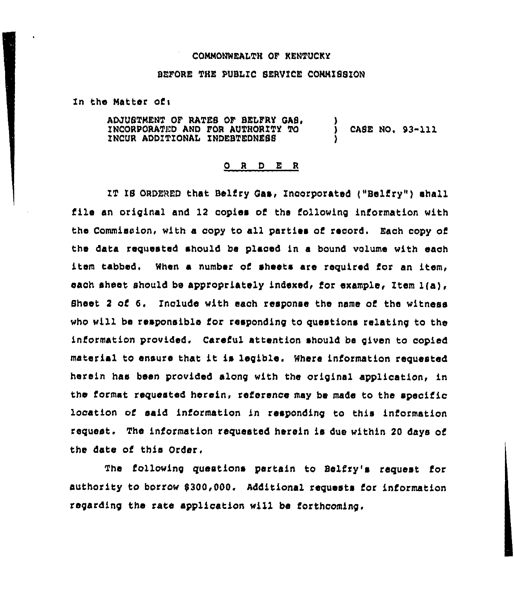## CONMONWEALTH OF KENTUCKY

## BEFORE THE PUBLIC SERVICE CONNISSION

In the Natter ofi

ADJUSTMENT OF RATES OF BELFRY GAS. INCORPORATED AND FOR AUTHORITY TO INCUR ADDITIONAL INDEBTEDNESS ) ) CASE NO, 93-111 )

## 0 <sup>R</sup> <sup>D</sup> E <sup>R</sup>

IT IS ORDERED that Belfry Qas, Incorporated ("Belfry" ) shall file an original and 12 copies of the following information with the Commission, with a copy to all parties of record. Each copy of the data requested should be placed in a bound volume with each item tabbed. When a number of sheets are required for an item, each sheet should be appropriately indexed, for example, Item 1(a), Sheet <sup>2</sup> of 6. Include with each response the name of the witness who will be responsible for responding to questions relating to the information provided, Careful attention should be given to copied material to ensure that it is legible. Where information requested herein has been provided along with the original application, in the format requested herein, reference may be made to the specific location of said information in responding to this information request. The information requested herein is due within 20 days of the date of this Order.

The following questions pertain to Belfry's request for authority to borrow 0300,000. Additional requests ior information regarding the rate application will be forthcoming.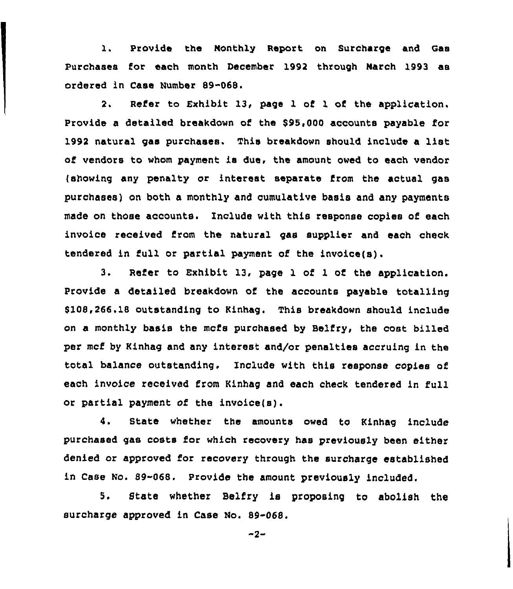1. Provide the Nonthly Report on Surcharge and Gas Purchases for each month December 1992 through March 1993 as ordered in Case Number 89-068.

2. Refer to Exhibit 13, page 1 of 1 of the application. Provide a detailed breakdown of the 895,000 accounts payable for 1992 natural gas purchases. This breakdown should include <sup>a</sup> list of vendors to whom payment is due, the amount owed to each vendor (showing any penalty or interest separate from the actual gas purchases) on both a monthly and cumulative basis and any payments made on those accounts. Include with this response copies of each invoice received from the natural gas supplier and each check tendered in full or partial payment of the invoice(s).

3. Refer to Exhibit 13, page 1 of 1 of the application. Provide a detailed breakdown of the accounts payable totalling 8108,266.18 outstanding to Kinhag. This breakdown should include on a monthly basis the mcfs purchased by Belfry, the cost billed per mcf by Kinhag and any interest and/or penalties accruing in the total balance outstanding. Include with this response copies of each invoice received from Kinhag and each check tendered in full or partial payment of the invoice(s).

4. State whether the amounts owed to Kinhag include purchased gas costs for which recovery has previously been either denied or approved for recovery through the surcharge established in Case No. 89-068. Provide the amount previously included.

5. State whether Belfry is proposing to abolish the surcharge approved in Case No. S9-068.

 $-2-$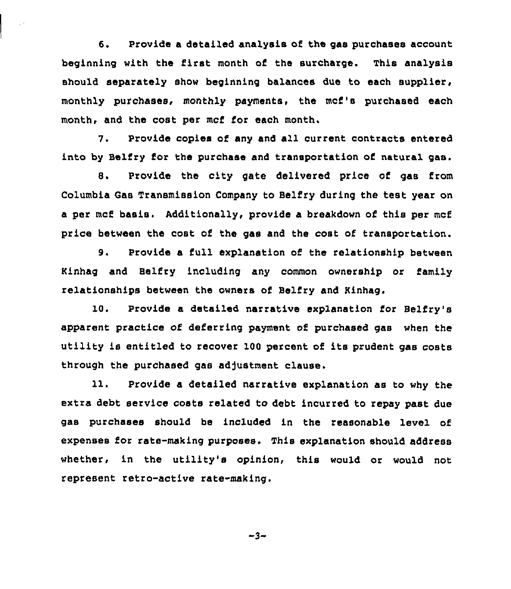6. Provide a detailed analysis of the gas purchases account beginning with the first month of the surcharge. This analysis should separately show beginning balances due to each supplier, monthly purchases, monthly payments, the mcf's purchased each month, and the cost per mcf for each month.

7. Provide copies of any and all current contracts entered into by Belfry for the purchase and transportation of natural gas.

8. Provide the city gate delivered price of gas from Columbia Gas Transmission Company to Belfry during the test year on a per mcf basis. Additionally, provide a breakdown of this per mcf price between the cost of the gas and the cost of transportation.

9. Provide a full explanation of the relationship between Rinhag and Belfry including any common ownership or family relationships between the owners of Belfry and kinhag.

10. Provide a detailed narrative explanation for Belfry's apparent practice of deferring payment of purchased gas when the utility is entitled to recover 100 percent of its prudent gas costs through the purchased gas adjustment clause.

11. Provide a detailed narrative explanation as to why the extra debt service costs related to debt incurred to repay past due gas purchases should be included in the reasonable level of expenses for rate-making purposes. This explanation should address whether, in the utility's opinion, this would or would not represent retro-active rate-making,

 $-3-$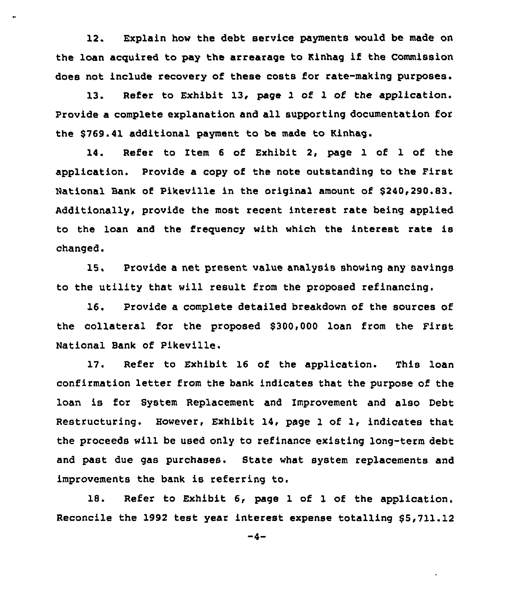12. Explain how the debt service payments would be made on the loan acquired to pay the arrearage to Rinhag if the Commission does not include recovery of these costs for rate-making purposes.

13. Refer to Exhibit 13, page 1 of 1 of the application. Provide a complete explanation and all supporting documentation for the \$769.41 additional payment to be made to Kinhag.

14. Refer to Item <sup>6</sup> of Exhibit 2, page 1 of 1 of the application. Provide a copy of the note outstanding to the First National Bank of Pikeville in the original amount of \$240,290.83. Additionally, provide the most recent interest rate being applied to the loan and the freguency with which the interest rate is changed.

15. Provide a net present value analysis showing any savings to the utility that will result from the proposed refinancing.

16. Provide a complete detailed breakdown of the sources of the collateral for the proposed \$300,000 loan from the First National Bank of Pikeville.

17. Refer to Exhibit 16 of the application. This loan confirmation letter from the bank indicates that the purpose of the loan is for System Replacement and Improvement and also Debt Restructuring. Bowever, Exhibit 14, page 1 of 1, indicates that the proceeds will be used only to refinance existing long-term debt and past due gas purchases. State what system replacements and improvements the bank is referring to,

18. Refer to Exhibit 6, page 1 of 1 of the application. Reconcile the 1992 test year interest expense totalling \$5,711.12

 $-4-$